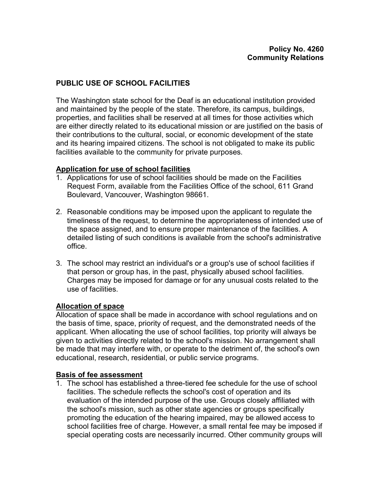# **PUBLIC USE OF SCHOOL FACILITIES**

The Washington state school for the Deaf is an educational institution provided and maintained by the people of the state. Therefore, its campus, buildings, properties, and facilities shall be reserved at all times for those activities which are either directly related to its educational mission or are justified on the basis of their contributions to the cultural, social, or economic development of the state and its hearing impaired citizens. The school is not obligated to make its public facilities available to the community for private purposes.

## **Application for use of school facilities**

- 1. Applications for use of school facilities should be made on the Facilities Request Form, available from the Facilities Office of the school, 611 Grand Boulevard, Vancouver, Washington 98661.
- 2. Reasonable conditions may be imposed upon the applicant to regulate the timeliness of the request, to determine the appropriateness of intended use of the space assigned, and to ensure proper maintenance of the facilities. A detailed listing of such conditions is available from the school's administrative office.
- 3. The school may restrict an individual's or a group's use of school facilities if that person or group has, in the past, physically abused school facilities. Charges may be imposed for damage or for any unusual costs related to the use of facilities.

## **Allocation of space**

Allocation of space shall be made in accordance with school regulations and on the basis of time, space, priority of request, and the demonstrated needs of the applicant. When allocating the use of school facilities, top priority will always be given to activities directly related to the school's mission. No arrangement shall be made that may interfere with, or operate to the detriment of, the school's own educational, research, residential, or public service programs.

## **Basis of fee assessment**

1. The school has established a three-tiered fee schedule for the use of school facilities. The schedule reflects the school's cost of operation and its evaluation of the intended purpose of the use. Groups closely affiliated with the school's mission, such as other state agencies or groups specifically promoting the education of the hearing impaired, may be allowed access to school facilities free of charge. However, a small rental fee may be imposed if special operating costs are necessarily incurred. Other community groups will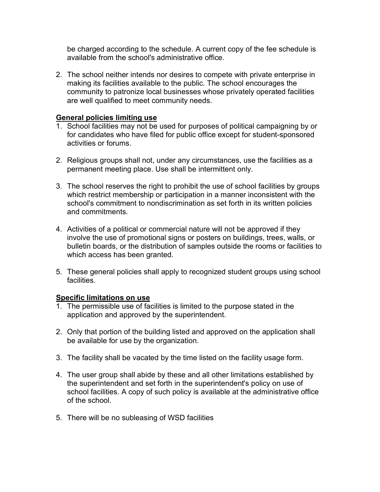be charged according to the schedule. A current copy of the fee schedule is available from the school's administrative office.

2. The school neither intends nor desires to compete with private enterprise in making its facilities available to the public. The school encourages the community to patronize local businesses whose privately operated facilities are well qualified to meet community needs.

# **General policies limiting use**

- 1. School facilities may not be used for purposes of political campaigning by or for candidates who have filed for public office except for student-sponsored activities or forums.
- 2. Religious groups shall not, under any circumstances, use the facilities as a permanent meeting place. Use shall be intermittent only.
- 3. The school reserves the right to prohibit the use of school facilities by groups which restrict membership or participation in a manner inconsistent with the school's commitment to nondiscrimination as set forth in its written policies and commitments.
- 4. Activities of a political or commercial nature will not be approved if they involve the use of promotional signs or posters on buildings, trees, walls, or bulletin boards, or the distribution of samples outside the rooms or facilities to which access has been granted.
- 5. These general policies shall apply to recognized student groups using school **facilities**

## **Specific limitations on use**

- 1. The permissible use of facilities is limited to the purpose stated in the application and approved by the superintendent.
- 2. Only that portion of the building listed and approved on the application shall be available for use by the organization.
- 3. The facility shall be vacated by the time listed on the facility usage form.
- 4. The user group shall abide by these and all other limitations established by the superintendent and set forth in the superintendent's policy on use of school facilities. A copy of such policy is available at the administrative office of the school.
- 5. There will be no subleasing of WSD facilities